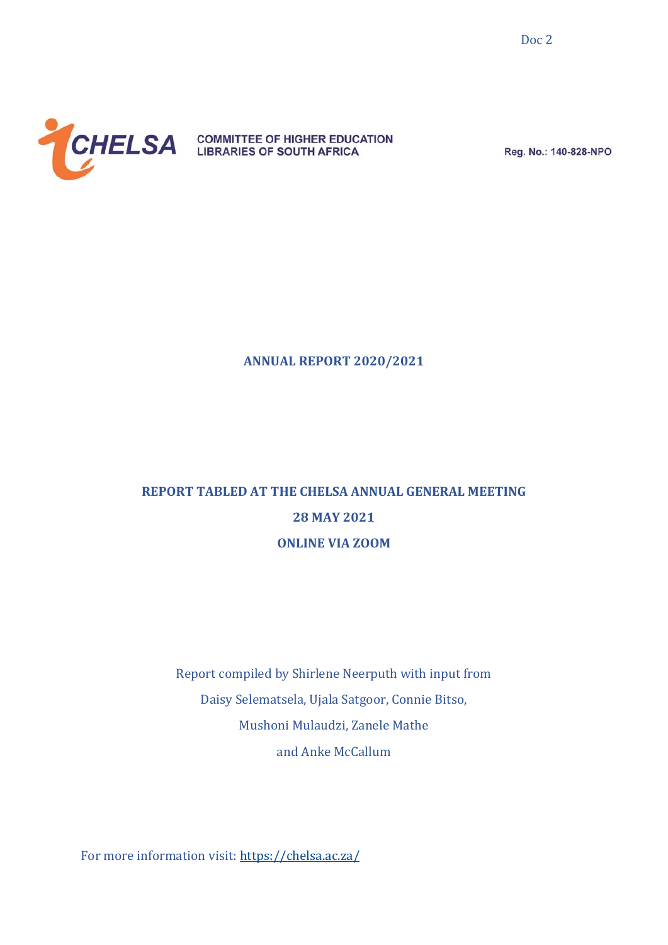

Reg. No.: 140-828-NPO

#### **ANNUAL REPORT 2020/2021**

# **REPORT TABLED AT THE CHELSA ANNUAL GENERAL MEETING 28 MAY 2021 ONLINE VIA ZOOM**

Report compiled by Shirlene Neerputh with input from Daisy Selematsela, Ujala Satgoor, Connie Bitso, Mushoni Mulaudzi, Zanele Mathe and Anke McCallum

For more information visit:<https://chelsa.ac.za/>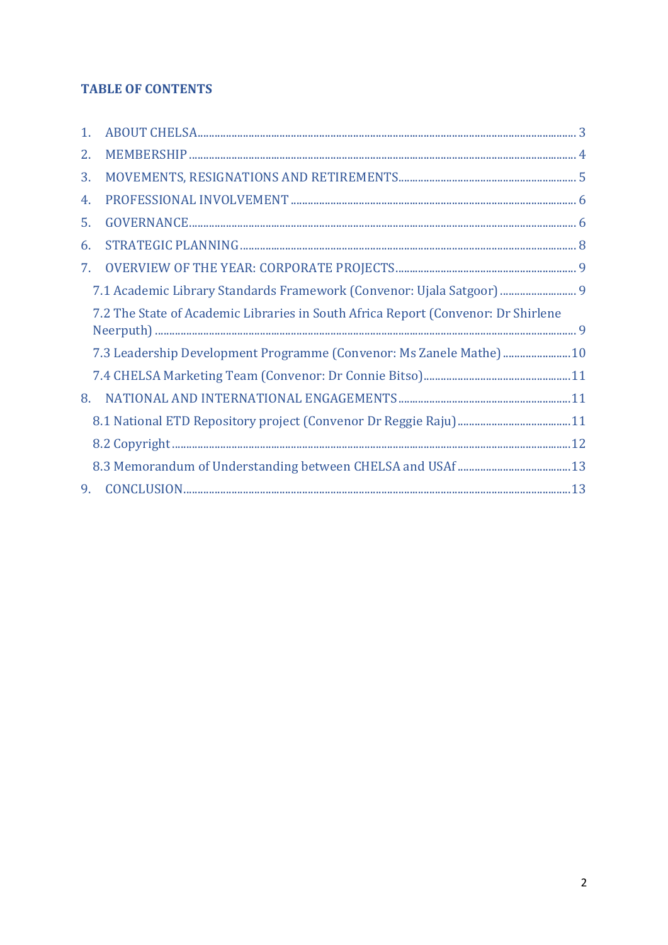# **TABLE OF CONTENTS**

| 1. |                                                                                   |  |
|----|-----------------------------------------------------------------------------------|--|
| 2. |                                                                                   |  |
| 3. |                                                                                   |  |
| 4. |                                                                                   |  |
| 5. |                                                                                   |  |
| 6. |                                                                                   |  |
| 7. |                                                                                   |  |
|    | 7.1 Academic Library Standards Framework (Convenor: Ujala Satgoor) 9              |  |
|    | 7.2 The State of Academic Libraries in South Africa Report (Convenor: Dr Shirlene |  |
|    | 7.3 Leadership Development Programme (Convenor: Ms Zanele Mathe) 10               |  |
|    |                                                                                   |  |
| 8. |                                                                                   |  |
|    |                                                                                   |  |
|    |                                                                                   |  |
|    |                                                                                   |  |
| 9. |                                                                                   |  |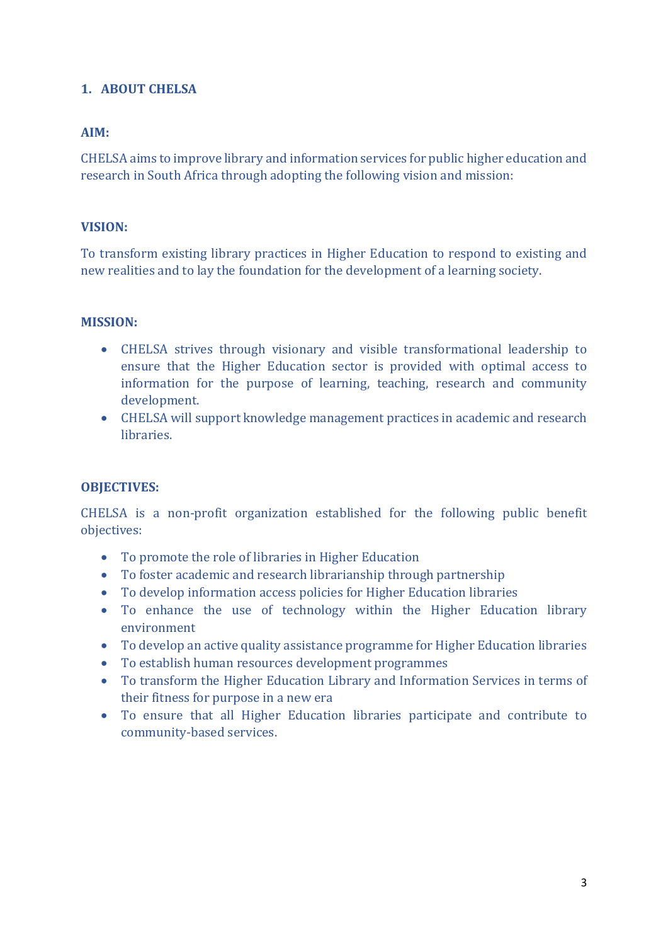# <span id="page-2-0"></span>**1. ABOUT CHELSA**

# **AIM:**

CHELSA aims to improve library and information services for public higher education and research in South Africa through adopting the following vision and mission:

## **VISION:**

To transform existing library practices in Higher Education to respond to existing and new realities and to lay the foundation for the development of a learning society.

#### **MISSION:**

- CHELSA strives through visionary and visible transformational leadership to ensure that the Higher Education sector is provided with optimal access to information for the purpose of learning, teaching, research and community development.
- CHELSA will support knowledge management practices in academic and research libraries.

#### **OBJECTIVES:**

CHELSA is a non-profit organization established for the following public benefit objectives:

- To promote the role of libraries in Higher Education
- To foster academic and research librarianship through partnership
- To develop information access policies for Higher Education libraries
- To enhance the use of technology within the Higher Education library environment
- To develop an active quality assistance programme for Higher Education libraries
- To establish human resources development programmes
- To transform the Higher Education Library and Information Services in terms of their fitness for purpose in a new era
- To ensure that all Higher Education libraries participate and contribute to community-based services.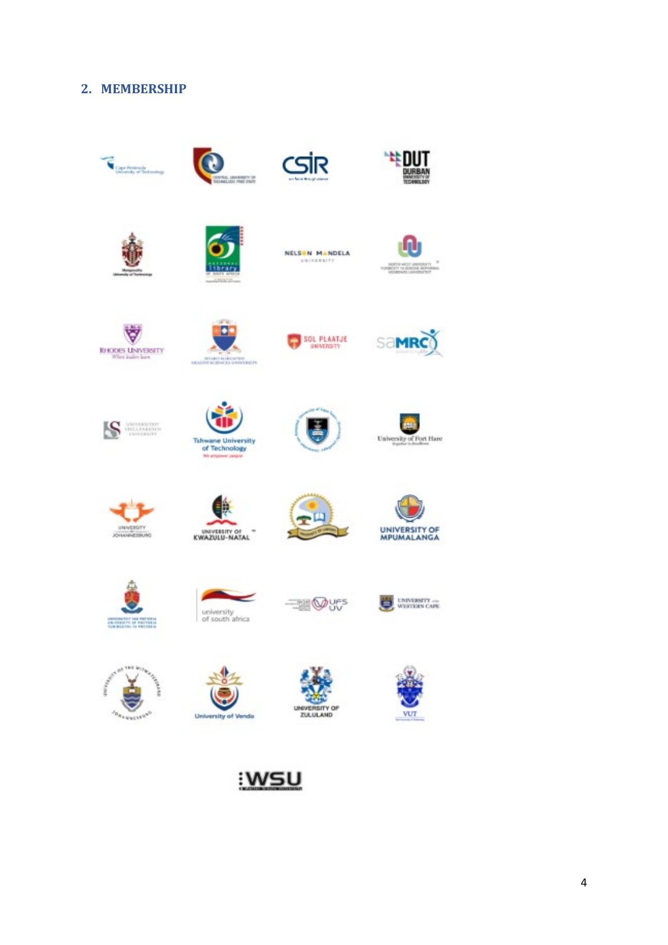## <span id="page-3-0"></span>**2. MEMBERSHIP**

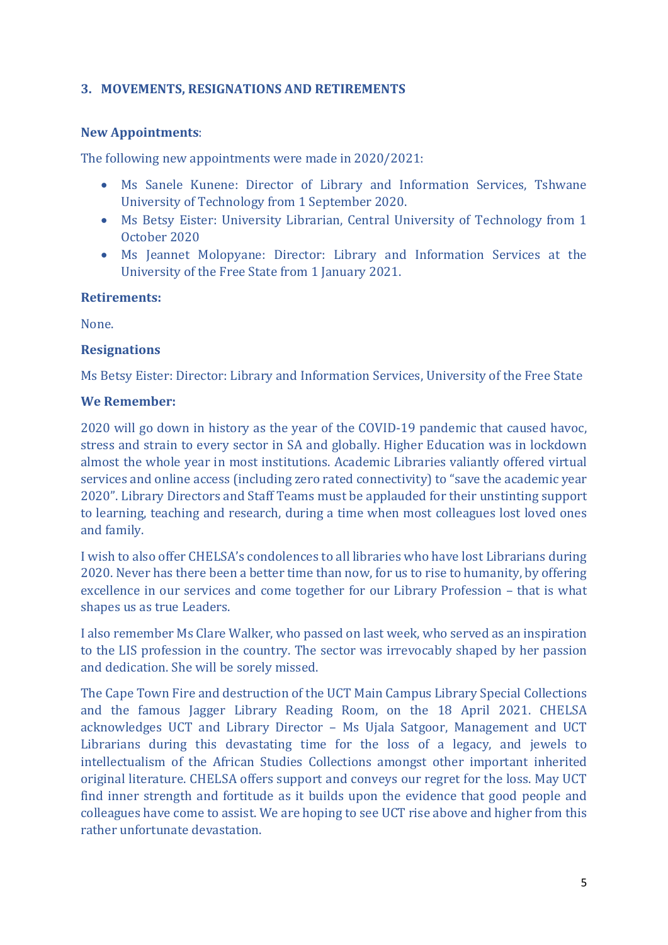# <span id="page-4-0"></span>**3. MOVEMENTS, RESIGNATIONS AND RETIREMENTS**

#### **New Appointments**:

The following new appointments were made in 2020/2021:

- Ms Sanele Kunene: Director of Library and Information Services, Tshwane University of Technology from 1 September 2020.
- Ms Betsy Eister: University Librarian, Central University of Technology from 1 October 2020
- Ms Jeannet Molopyane: Director: Library and Information Services at the University of the Free State from 1 January 2021.

#### **Retirements:**

None.

#### **Resignations**

Ms Betsy Eister: Director: Library and Information Services, University of the Free State

#### **We Remember:**

2020 will go down in history as the year of the COVID-19 pandemic that caused havoc, stress and strain to every sector in SA and globally. Higher Education was in lockdown almost the whole year in most institutions. Academic Libraries valiantly offered virtual services and online access (including zero rated connectivity) to "save the academic year 2020". Library Directors and Staff Teams must be applauded for their unstinting support to learning, teaching and research, during a time when most colleagues lost loved ones and family.

I wish to also offer CHELSA's condolences to all libraries who have lost Librarians during 2020. Never has there been a better time than now, for us to rise to humanity, by offering excellence in our services and come together for our Library Profession – that is what shapes us as true Leaders.

I also remember Ms Clare Walker, who passed on last week, who served as an inspiration to the LIS profession in the country. The sector was irrevocably shaped by her passion and dedication. She will be sorely missed.

The Cape Town Fire and destruction of the UCT Main Campus Library Special Collections and the famous Jagger Library Reading Room, on the 18 April 2021. CHELSA acknowledges UCT and Library Director – Ms Ujala Satgoor, Management and UCT Librarians during this devastating time for the loss of a legacy, and jewels to intellectualism of the African Studies Collections amongst other important inherited original literature. CHELSA offers support and conveys our regret for the loss. May UCT find inner strength and fortitude as it builds upon the evidence that good people and colleagues have come to assist. We are hoping to see UCT rise above and higher from this rather unfortunate devastation.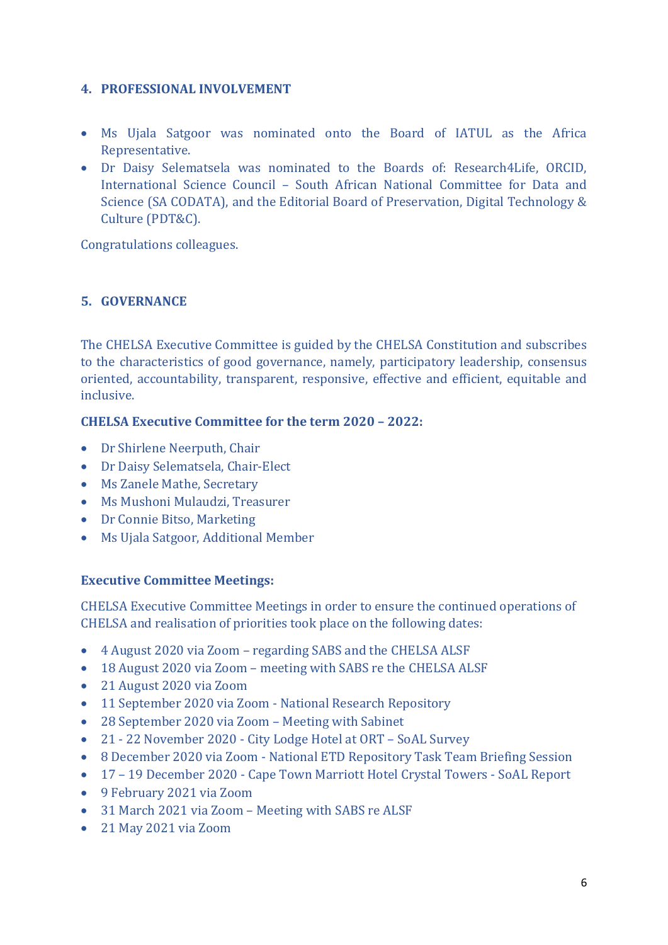# <span id="page-5-0"></span>**4. PROFESSIONAL INVOLVEMENT**

- Ms Ujala Satgoor was nominated onto the Board of IATUL as the Africa Representative.
- Dr Daisy Selematsela was nominated to the Boards of: Research4Life, ORCID, International Science Council – South African National Committee for Data and Science (SA CODATA), and the Editorial Board of Preservation, Digital Technology & Culture (PDT&C).

Congratulations colleagues.

# <span id="page-5-1"></span>**5. GOVERNANCE**

The CHELSA Executive Committee is guided by the CHELSA Constitution and subscribes to the characteristics of good governance, namely, participatory leadership, consensus oriented, accountability, transparent, responsive, effective and efficient, equitable and inclusive.

# **CHELSA Executive Committee for the term 2020 – 2022:**

- Dr Shirlene Neerputh, Chair
- Dr Daisy Selematsela, Chair-Elect
- Ms Zanele Mathe, Secretary
- Ms Mushoni Mulaudzi, Treasurer
- Dr Connie Bitso, Marketing
- Ms Ujala Satgoor, Additional Member

#### **Executive Committee Meetings:**

CHELSA Executive Committee Meetings in order to ensure the continued operations of CHELSA and realisation of priorities took place on the following dates:

- 4 August 2020 via Zoom regarding SABS and the CHELSA ALSF
- 18 August 2020 via Zoom meeting with SABS re the CHELSA ALSF
- 21 August 2020 via Zoom
- 11 September 2020 via Zoom National Research Repository
- 28 September 2020 via Zoom Meeting with Sabinet
- 21 22 November 2020 City Lodge Hotel at ORT SoAL Survey
- 8 December 2020 via Zoom National ETD Repository Task Team Briefing Session
- 17 19 December 2020 Cape Town Marriott Hotel Crystal Towers SoAL Report
- 9 February 2021 via Zoom
- 31 March 2021 via Zoom Meeting with SABS re ALSF
- 21 May 2021 via Zoom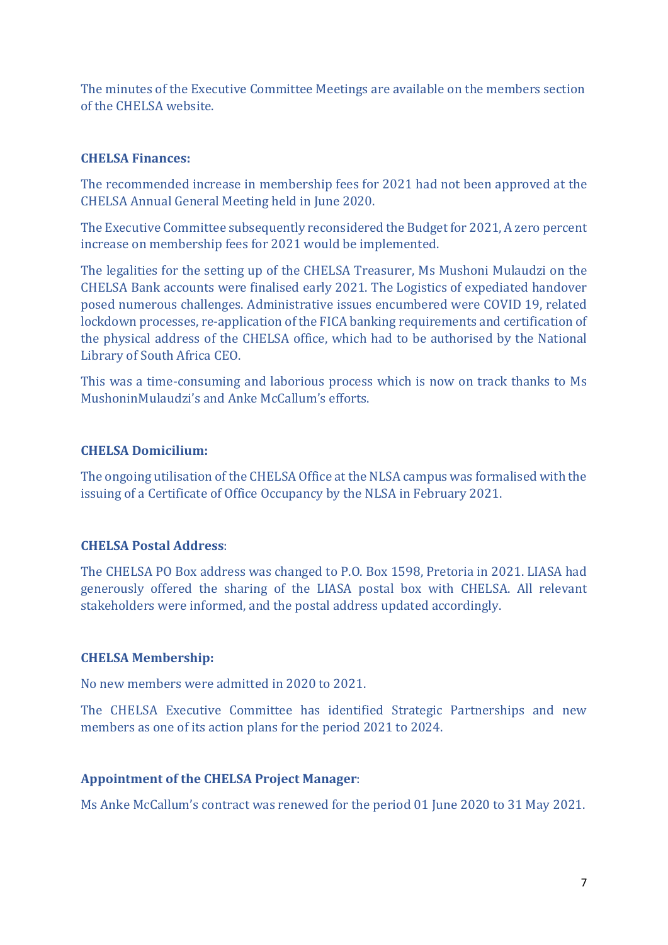The minutes of the Executive Committee Meetings are available on the members section of the CHELSA website.

# **CHELSA Finances:**

The recommended increase in membership fees for 2021 had not been approved at the CHELSA Annual General Meeting held in June 2020.

The Executive Committee subsequently reconsidered the Budget for 2021, A zero percent increase on membership fees for 2021 would be implemented.

The legalities for the setting up of the CHELSA Treasurer, Ms Mushoni Mulaudzi on the CHELSA Bank accounts were finalised early 2021. The Logistics of expediated handover posed numerous challenges. Administrative issues encumbered were COVID 19, related lockdown processes, re-application of the FICA banking requirements and certification of the physical address of the CHELSA office, which had to be authorised by the National Library of South Africa CEO.

This was a time-consuming and laborious process which is now on track thanks to Ms MushoninMulaudzi's and Anke McCallum's efforts.

# **CHELSA Domicilium:**

The ongoing utilisation of the CHELSA Office at the NLSA campus was formalised with the issuing of a Certificate of Office Occupancy by the NLSA in February 2021.

#### **CHELSA Postal Address**:

The CHELSA PO Box address was changed to P.O. Box 1598, Pretoria in 2021. LIASA had generously offered the sharing of the LIASA postal box with CHELSA. All relevant stakeholders were informed, and the postal address updated accordingly.

#### **CHELSA Membership:**

No new members were admitted in 2020 to 2021.

The CHELSA Executive Committee has identified Strategic Partnerships and new members as one of its action plans for the period 2021 to 2024.

#### **Appointment of the CHELSA Project Manager**:

Ms Anke McCallum's contract was renewed for the period 01 June 2020 to 31 May 2021.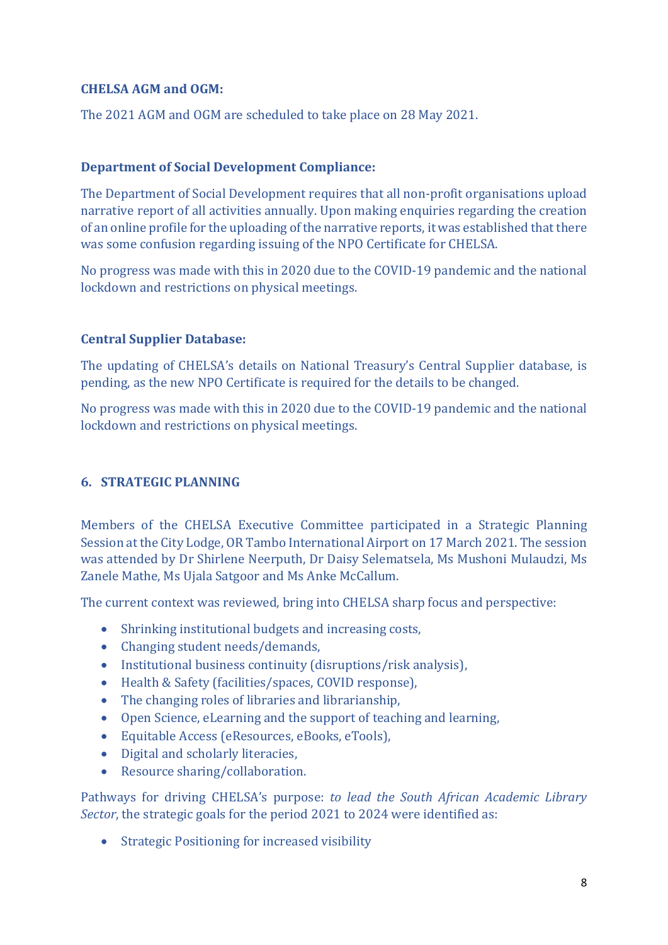# **CHELSA AGM and OGM:**

The 2021 AGM and OGM are scheduled to take place on 28 May 2021.

# **Department of Social Development Compliance:**

The Department of Social Development requires that all non-profit organisations upload narrative report of all activities annually. Upon making enquiries regarding the creation of an online profile for the uploading of the narrative reports, it was established that there was some confusion regarding issuing of the NPO Certificate for CHELSA.

No progress was made with this in 2020 due to the COVID-19 pandemic and the national lockdown and restrictions on physical meetings.

# **Central Supplier Database:**

The updating of CHELSA's details on National Treasury's Central Supplier database, is pending, as the new NPO Certificate is required for the details to be changed.

No progress was made with this in 2020 due to the COVID-19 pandemic and the national lockdown and restrictions on physical meetings.

# <span id="page-7-0"></span>**6. STRATEGIC PLANNING**

Members of the CHELSA Executive Committee participated in a Strategic Planning Session at the City Lodge, OR Tambo International Airport on 17 March 2021. The session was attended by Dr Shirlene Neerputh, Dr Daisy Selematsela, Ms Mushoni Mulaudzi, Ms Zanele Mathe, Ms Ujala Satgoor and Ms Anke McCallum.

The current context was reviewed, bring into CHELSA sharp focus and perspective:

- Shrinking institutional budgets and increasing costs,
- Changing student needs/demands,
- Institutional business continuity (disruptions/risk analysis),
- Health & Safety (facilities/spaces, COVID response),
- The changing roles of libraries and librarianship,
- Open Science, eLearning and the support of teaching and learning,
- Equitable Access (eResources, eBooks, eTools),
- Digital and scholarly literacies,
- Resource sharing/collaboration.

Pathways for driving CHELSA's purpose: *to lead the South African Academic Library Sector*, the strategic goals for the period 2021 to 2024 were identified as:

• Strategic Positioning for increased visibility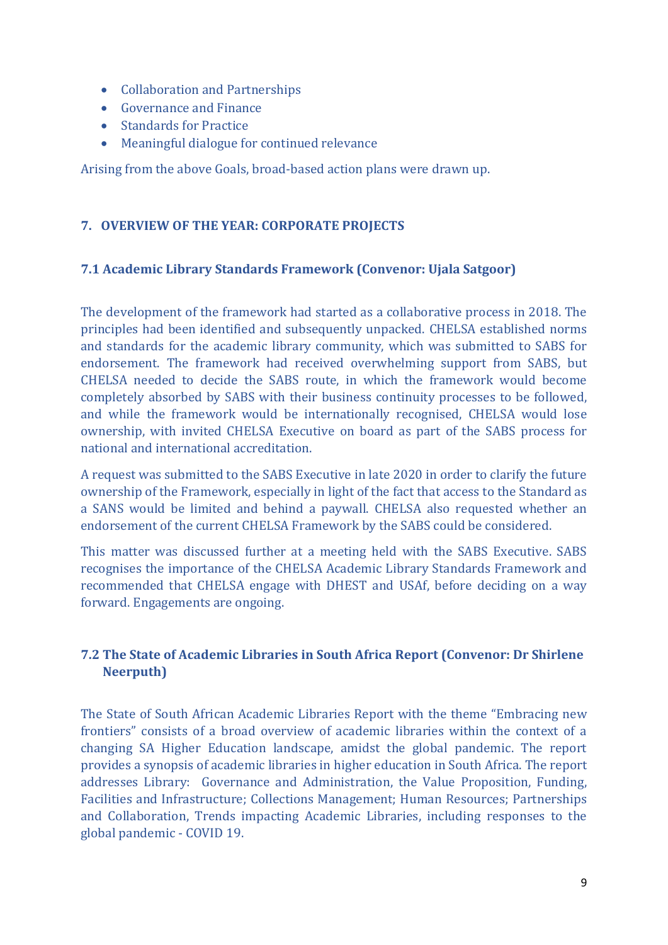- Collaboration and Partnerships
- Governance and Finance
- Standards for Practice
- Meaningful dialogue for continued relevance

Arising from the above Goals, broad-based action plans were drawn up.

# <span id="page-8-0"></span>**7. OVERVIEW OF THE YEAR: CORPORATE PROJECTS**

#### <span id="page-8-1"></span>**7.1 Academic Library Standards Framework (Convenor: Ujala Satgoor)**

The development of the framework had started as a collaborative process in 2018. The principles had been identified and subsequently unpacked. CHELSA established norms and standards for the academic library community, which was submitted to SABS for endorsement. The framework had received overwhelming support from SABS, but CHELSA needed to decide the SABS route, in which the framework would become completely absorbed by SABS with their business continuity processes to be followed, and while the framework would be internationally recognised, CHELSA would lose ownership, with invited CHELSA Executive on board as part of the SABS process for national and international accreditation.

A request was submitted to the SABS Executive in late 2020 in order to clarify the future ownership of the Framework, especially in light of the fact that access to the Standard as a SANS would be limited and behind a paywall. CHELSA also requested whether an endorsement of the current CHELSA Framework by the SABS could be considered.

This matter was discussed further at a meeting held with the SABS Executive. SABS recognises the importance of the CHELSA Academic Library Standards Framework and recommended that CHELSA engage with DHEST and USAf, before deciding on a way forward. Engagements are ongoing.

# <span id="page-8-2"></span>**7.2 The State of Academic Libraries in South Africa Report (Convenor: Dr Shirlene Neerputh)**

The State of South African Academic Libraries Report with the theme "Embracing new frontiers" consists of a broad overview of academic libraries within the context of a changing SA Higher Education landscape, amidst the global pandemic. The report provides a synopsis of academic libraries in higher education in South Africa. The report addresses Library: Governance and Administration, the Value Proposition, Funding, Facilities and Infrastructure; Collections Management; Human Resources; Partnerships and Collaboration, Trends impacting Academic Libraries, including responses to the global pandemic - COVID 19.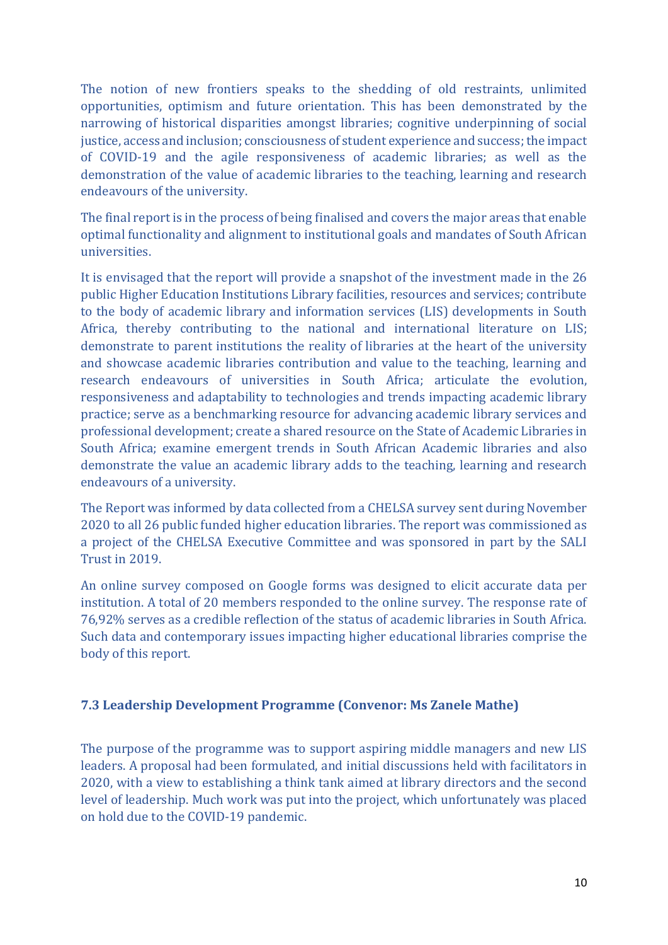The notion of new frontiers speaks to the shedding of old restraints, unlimited opportunities, optimism and future orientation. This has been demonstrated by the narrowing of historical disparities amongst libraries; cognitive underpinning of social justice, access and inclusion; consciousness of student experience and success; the impact of COVID-19 and the agile responsiveness of academic libraries; as well as the demonstration of the value of academic libraries to the teaching, learning and research endeavours of the university.

The final report is in the process of being finalised and covers the major areas that enable optimal functionality and alignment to institutional goals and mandates of South African universities.

It is envisaged that the report will provide a snapshot of the investment made in the 26 public Higher Education Institutions Library facilities, resources and services; contribute to the body of academic library and information services (LIS) developments in South Africa, thereby contributing to the national and international literature on LIS; demonstrate to parent institutions the reality of libraries at the heart of the university and showcase academic libraries contribution and value to the teaching, learning and research endeavours of universities in South Africa; articulate the evolution, responsiveness and adaptability to technologies and trends impacting academic library practice; serve as a benchmarking resource for advancing academic library services and professional development; create a shared resource on the State of Academic Libraries in South Africa; examine emergent trends in South African Academic libraries and also demonstrate the value an academic library adds to the teaching, learning and research endeavours of a university.

The Report was informed by data collected from a CHELSA survey sent during November 2020 to all 26 public funded higher education libraries. The report was commissioned as a project of the CHELSA Executive Committee and was sponsored in part by the SALI Trust in 2019.

An online survey composed on Google forms was designed to elicit accurate data per institution. A total of 20 members responded to the online survey. The response rate of 76,92% serves as a credible reflection of the status of academic libraries in South Africa. Such data and contemporary issues impacting higher educational libraries comprise the body of this report.

#### <span id="page-9-0"></span>**7.3 Leadership Development Programme (Convenor: Ms Zanele Mathe)**

The purpose of the programme was to support aspiring middle managers and new LIS leaders. A proposal had been formulated, and initial discussions held with facilitators in 2020, with a view to establishing a think tank aimed at library directors and the second level of leadership. Much work was put into the project, which unfortunately was placed on hold due to the COVID-19 pandemic.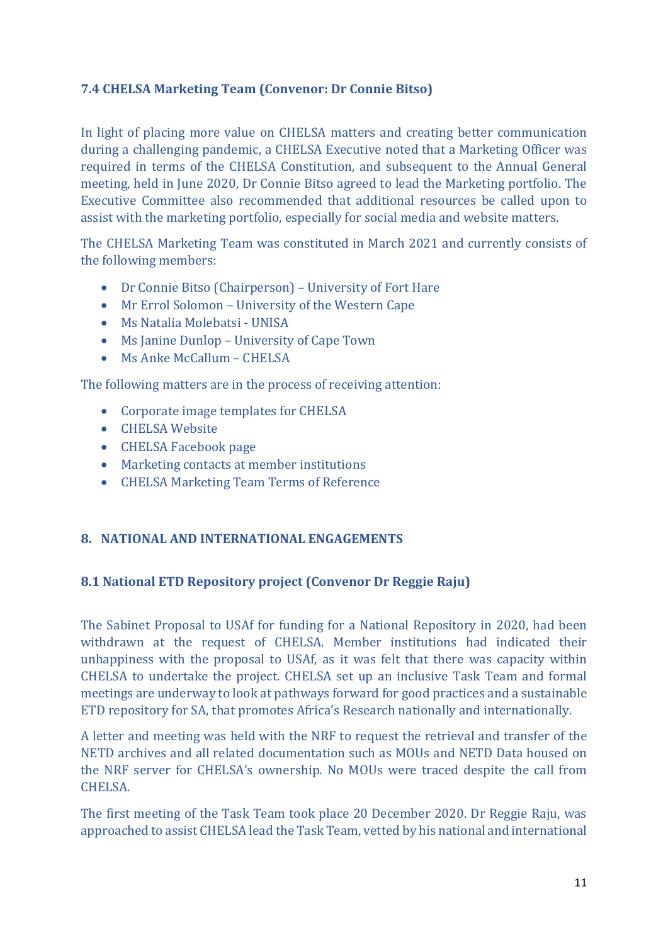# <span id="page-10-0"></span>**7.4 CHELSA Marketing Team (Convenor: Dr Connie Bitso)**

In light of placing more value on CHELSA matters and creating better communication during a challenging pandemic, a CHELSA Executive noted that a Marketing Officer was required in terms of the CHELSA Constitution, and subsequent to the Annual General meeting, held in June 2020, Dr Connie Bitso agreed to lead the Marketing portfolio. The Executive Committee also recommended that additional resources be called upon to assist with the marketing portfolio, especially for social media and website matters.

The CHELSA Marketing Team was constituted in March 2021 and currently consists of the following members:

- Dr Connie Bitso (Chairperson) University of Fort Hare
- Mr Errol Solomon University of the Western Cape
- Ms Natalia Molebatsi UNISA
- Ms Janine Dunlop University of Cape Town
- Ms Anke McCallum CHELSA

The following matters are in the process of receiving attention:

- Corporate image templates for CHELSA
- CHELSA Website
- CHELSA Facebook page
- Marketing contacts at member institutions
- CHELSA Marketing Team Terms of Reference

# <span id="page-10-1"></span>**8. NATIONAL AND INTERNATIONAL ENGAGEMENTS**

#### <span id="page-10-2"></span>**8.1 National ETD Repository project (Convenor Dr Reggie Raju)**

The Sabinet Proposal to USAf for funding for a National Repository in 2020, had been withdrawn at the request of CHELSA. Member institutions had indicated their unhappiness with the proposal to USAf, as it was felt that there was capacity within CHELSA to undertake the project. CHELSA set up an inclusive Task Team and formal meetings are underway to look at pathways forward for good practices and a sustainable ETD repository for SA, that promotes Africa's Research nationally and internationally.

A letter and meeting was held with the NRF to request the retrieval and transfer of the NETD archives and all related documentation such as MOUs and NETD Data housed on the NRF server for CHELSA's ownership. No MOUs were traced despite the call from CHELSA.

The first meeting of the Task Team took place 20 December 2020. Dr Reggie Raju, was approached to assist CHELSA lead the Task Team, vetted by his national and international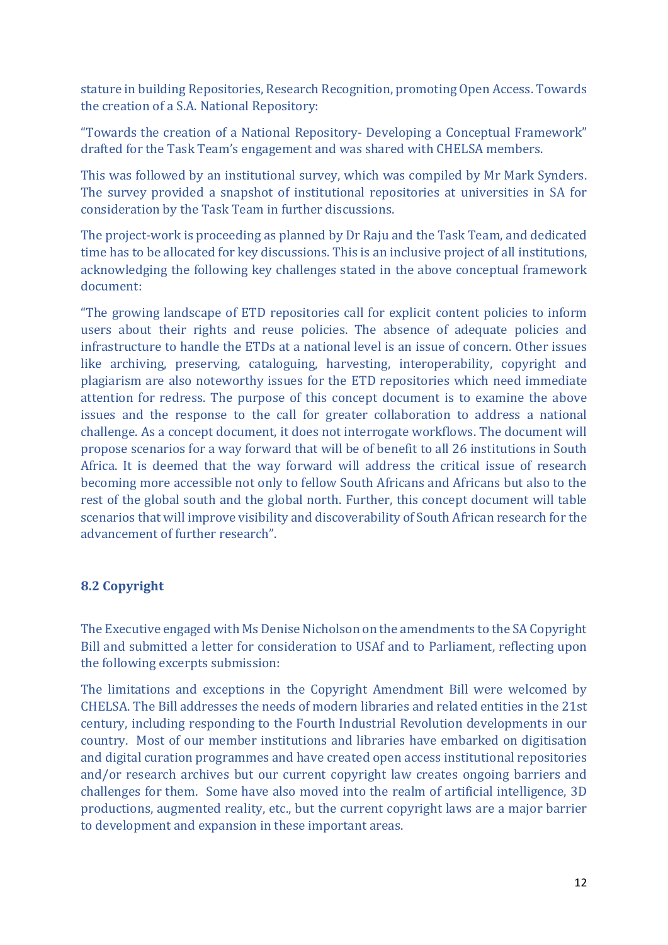stature in building Repositories, Research Recognition, promoting Open Access. Towards the creation of a S.A. National Repository:

"Towards the creation of a National Repository- Developing a Conceptual Framework" drafted for the Task Team's engagement and was shared with CHELSA members.

This was followed by an institutional survey, which was compiled by Mr Mark Synders. The survey provided a snapshot of institutional repositories at universities in SA for consideration by the Task Team in further discussions.

The project-work is proceeding as planned by Dr Raju and the Task Team, and dedicated time has to be allocated for key discussions. This is an inclusive project of all institutions, acknowledging the following key challenges stated in the above conceptual framework document:

"The growing landscape of ETD repositories call for explicit content policies to inform users about their rights and reuse policies. The absence of adequate policies and infrastructure to handle the ETDs at a national level is an issue of concern. Other issues like archiving, preserving, cataloguing, harvesting, interoperability, copyright and plagiarism are also noteworthy issues for the ETD repositories which need immediate attention for redress. The purpose of this concept document is to examine the above issues and the response to the call for greater collaboration to address a national challenge. As a concept document, it does not interrogate workflows. The document will propose scenarios for a way forward that will be of benefit to all 26 institutions in South Africa. It is deemed that the way forward will address the critical issue of research becoming more accessible not only to fellow South Africans and Africans but also to the rest of the global south and the global north. Further, this concept document will table scenarios that will improve visibility and discoverability of South African research for the advancement of further research".

# <span id="page-11-0"></span>**8.2 Copyright**

The Executive engaged with Ms Denise Nicholson on the amendments to the SA Copyright Bill and submitted a letter for consideration to USAf and to Parliament, reflecting upon the following excerpts submission:

The limitations and exceptions in the Copyright Amendment Bill were welcomed by CHELSA. The Bill addresses the needs of modern libraries and related entities in the 21st century, including responding to the Fourth Industrial Revolution developments in our country. Most of our member institutions and libraries have embarked on digitisation and digital curation programmes and have created open access institutional repositories and/or research archives but our current copyright law creates ongoing barriers and challenges for them. Some have also moved into the realm of artificial intelligence, 3D productions, augmented reality, etc., but the current copyright laws are a major barrier to development and expansion in these important areas.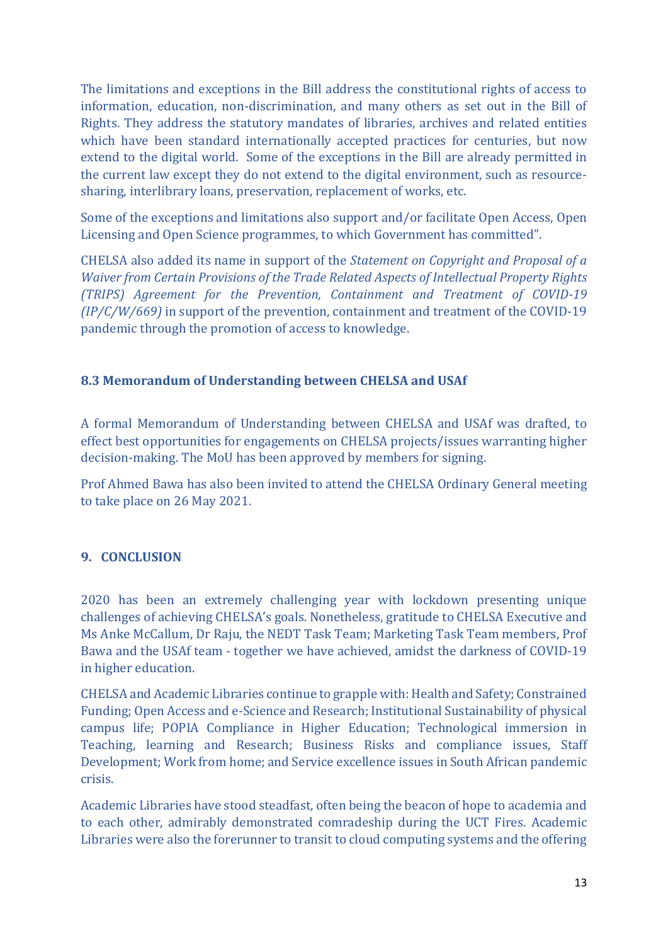The limitations and exceptions in the Bill address the constitutional rights of access to information, education, non-discrimination, and many others as set out in the Bill of Rights. They address the statutory mandates of libraries, archives and related entities which have been standard internationally accepted practices for centuries, but now extend to the digital world. Some of the exceptions in the Bill are already permitted in the current law except they do not extend to the digital environment, such as resourcesharing, interlibrary loans, preservation, replacement of works, etc.

Some of the exceptions and limitations also support and/or facilitate Open Access, Open Licensing and Open Science programmes, to which Government has committed".

CHELSA also added its name in support of the *Statement on Copyright and Proposal of a Waiver from Certain Provisions of the Trade Related Aspects of Intellectual Property Rights (TRIPS) Agreement for the Prevention, Containment and Treatment of COVID-19 (IP/C/W/669)* in support of the prevention, containment and treatment of the COVID-19 pandemic through the promotion of access to knowledge.

# <span id="page-12-0"></span>**8.3 Memorandum of Understanding between CHELSA and USAf**

A formal Memorandum of Understanding between CHELSA and USAf was drafted, to effect best opportunities for engagements on CHELSA projects/issues warranting higher decision-making. The MoU has been approved by members for signing.

Prof Ahmed Bawa has also been invited to attend the CHELSA Ordinary General meeting to take place on 26 May 2021.

# <span id="page-12-1"></span>**9. CONCLUSION**

2020 has been an extremely challenging year with lockdown presenting unique challenges of achieving CHELSA's goals. Nonetheless, gratitude to CHELSA Executive and Ms Anke McCallum, Dr Raju, the NEDT Task Team; Marketing Task Team members, Prof Bawa and the USAf team - together we have achieved, amidst the darkness of COVID-19 in higher education.

CHELSA and Academic Libraries continue to grapple with: Health and Safety; Constrained Funding; Open Access and e-Science and Research; Institutional Sustainability of physical campus life; POPIA Compliance in Higher Education; Technological immersion in Teaching, learning and Research; Business Risks and compliance issues, Staff Development; Work from home; and Service excellence issues in South African pandemic crisis.

Academic Libraries have stood steadfast, often being the beacon of hope to academia and to each other, admirably demonstrated comradeship during the UCT Fires. Academic Libraries were also the forerunner to transit to cloud computing systems and the offering